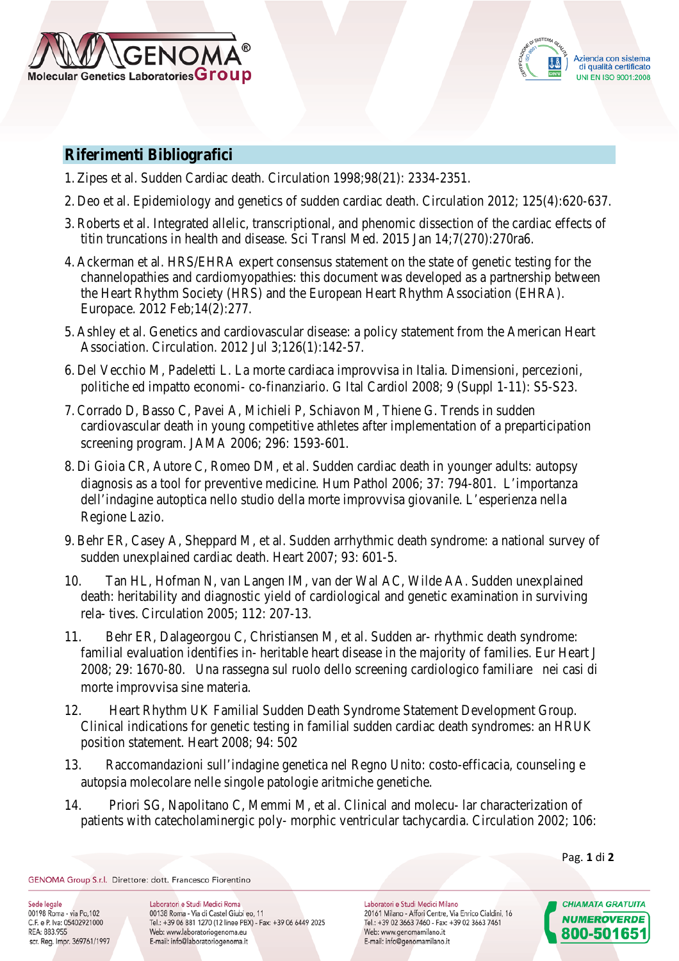



## **Riferimenti Bibliografici**

- 1. Zipes et al. Sudden Cardiac death. Circulation 1998;98(21): 2334-2351.
- 2. Deo et al. Epidemiology and genetics of sudden cardiac death. Circulation 2012; 125(4):620-637.
- 3. Roberts et al. Integrated allelic, transcriptional, and phenomic dissection of the cardiac effects of titin truncations in health and disease. Sci Transl Med. 2015 Jan 14;7(270):270ra6.
- 4. Ackerman et al. HRS/EHRA expert consensus statement on the state of genetic testing for the channelopathies and cardiomyopathies: this document was developed as a partnership between the Heart Rhythm Society (HRS) and the European Heart Rhythm Association (EHRA). Europace. 2012 Feb;14(2):277.
- 5. Ashley et al. Genetics and cardiovascular disease: a policy statement from the American Heart Association. Circulation. 2012 Jul 3;126(1):142-57.
- 6. Del Vecchio M, Padeletti L. La morte cardiaca improvvisa in Italia. Dimensioni, percezioni, politiche ed impatto economi- co-finanziario. G Ital Cardiol 2008; 9 (Suppl 1-11): S5-S23.
- 7. Corrado D, Basso C, Pavei A, Michieli P, Schiavon M, Thiene G. Trends in sudden cardiovascular death in young competitive athletes after implementation of a preparticipation screening program. JAMA 2006; 296: 1593-601.
- 8. Di Gioia CR, Autore C, Romeo DM, et al. Sudden cardiac death in younger adults: autopsy diagnosis as a tool for preventive medicine. Hum Pathol 2006; 37: 794-801. L'importanza dell'indagine autoptica nello studio della morte improvvisa giovanile. L'esperienza nella Regione Lazio.
- 9. Behr ER, Casey A, Sheppard M, et al. Sudden arrhythmic death syndrome: a national survey of sudden unexplained cardiac death. Heart 2007; 93: 601-5.
- 10. Tan HL, Hofman N, van Langen IM, van der Wal AC, Wilde AA. Sudden unexplained death: heritability and diagnostic yield of cardiological and genetic examination in surviving rela- tives. Circulation 2005; 112: 207-13.
- 11. Behr ER, Dalageorgou C, Christiansen M, et al. Sudden ar- rhythmic death syndrome: familial evaluation identifies in- heritable heart disease in the majority of families. Eur Heart J 2008; 29: 1670-80. Una rassegna sul ruolo dello screening cardiologico familiare nei casi di morte improvvisa sine materia.
- 12. Heart Rhythm UK Familial Sudden Death Syndrome Statement Development Group. Clinical indications for genetic testing in familial sudden cardiac death syndromes: an HRUK position statement. Heart 2008; 94: 502
- 13. Raccomandazioni sull'indagine genetica nel Regno Unito: costo-efficacia, counseling e autopsia molecolare nelle singole patologie aritmiche genetiche.
- 14. Priori SG, Napolitano C, Memmi M, et al. Clinical and molecu- lar characterization of patients with catecholaminergic poly- morphic ventricular tachycardia. Circulation 2002; 106:

GENOMA Group S.r.l. Direttore: dott. Francesco Fiorentino

Sede legale 00198 Roma - via Po, 102 C.F. e P. Iva: 05402921000 REA: 883.955 scr. Reg. Impr. 369761/1997

Laboratori e Studi Medici Roma 00138 Roma - Via di Castel Giubi eo, 11 Tel.: +39 06 881 1270 (12 linee PBX) - Fax: +39 06 6449 2025 Web: www.laboratoriogenoma.eu E-mail: info@laboratoriogenoma.it

Laboratori e Studi Medici Milano 20161 Milano - Affori Centre, Via Enrico Cialdini, 16 Tel.: +39 02 3663 7460 - Fax: +39 02 3663 7461 Web: www.genomamilano.it E-mail: info@genomamilano.it

Pag. **1** di **2**